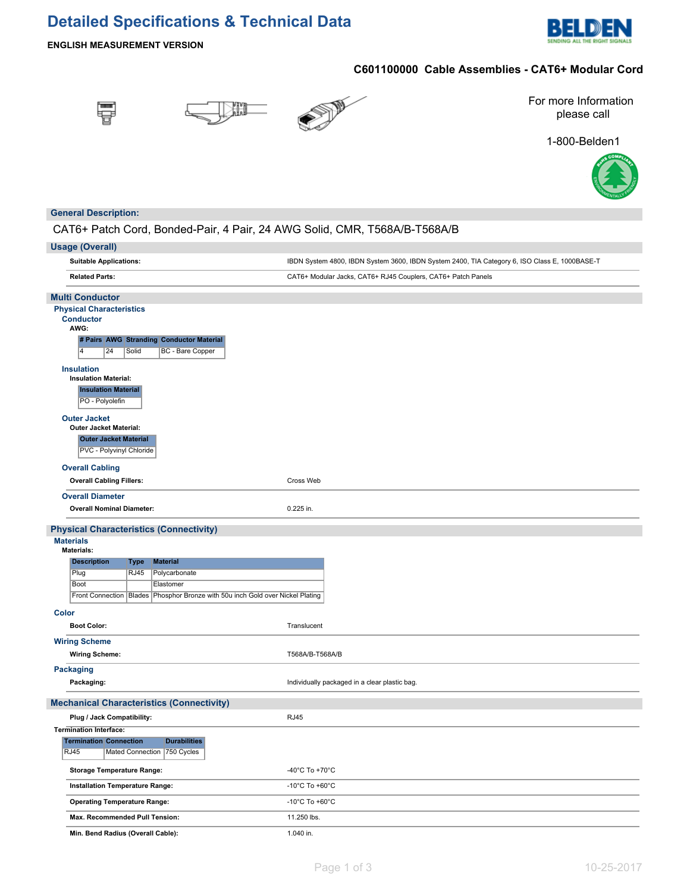## **Detailed Specifications & Technical Data**



**ENGLISH MEASUREMENT VERSION**

## **C601100000 Cable Assemblies - CAT6+ Modular Cord**







For more Information please call

1-800-Belden1



### **General Description:**

### CAT6+ Patch Cord, Bonded-Pair, 4 Pair, 24 AWG Solid, CMR, T568A/B-T568A/B

|              | <b>Usage (Overall)</b>                                                                                    |                                                                                    |                                                                                               |  |  |  |
|--------------|-----------------------------------------------------------------------------------------------------------|------------------------------------------------------------------------------------|-----------------------------------------------------------------------------------------------|--|--|--|
|              | <b>Suitable Applications:</b>                                                                             |                                                                                    | IBDN System 4800, IBDN System 3600, IBDN System 2400, TIA Category 6, ISO Class E, 1000BASE-T |  |  |  |
|              | <b>Related Parts:</b>                                                                                     |                                                                                    | CAT6+ Modular Jacks, CAT6+ RJ45 Couplers, CAT6+ Patch Panels                                  |  |  |  |
|              | <b>Multi Conductor</b>                                                                                    |                                                                                    |                                                                                               |  |  |  |
|              | <b>Physical Characteristics</b><br><b>Conductor</b><br>AWG:                                               |                                                                                    |                                                                                               |  |  |  |
|              | # Pairs AWG Stranding Conductor Material<br>$\overline{4}$<br>24<br>Solid                                 | <b>BC</b> - Bare Copper                                                            |                                                                                               |  |  |  |
|              | <b>Insulation</b><br><b>Insulation Material:</b><br><b>Insulation Material</b><br>PO - Polyolefin         |                                                                                    |                                                                                               |  |  |  |
|              | <b>Outer Jacket</b><br>Outer Jacket Material:<br><b>Outer Jacket Material</b><br>PVC - Polyvinyl Chloride |                                                                                    |                                                                                               |  |  |  |
|              | <b>Overall Cabling</b>                                                                                    |                                                                                    |                                                                                               |  |  |  |
|              | <b>Overall Cabling Fillers:</b>                                                                           |                                                                                    | Cross Web                                                                                     |  |  |  |
|              | <b>Overall Diameter</b>                                                                                   |                                                                                    |                                                                                               |  |  |  |
|              | <b>Overall Nominal Diameter:</b>                                                                          |                                                                                    | 0.225 in.                                                                                     |  |  |  |
|              | <b>Physical Characteristics (Connectivity)</b><br><b>Materials</b><br><b>Materials:</b>                   |                                                                                    |                                                                                               |  |  |  |
|              | <b>Description</b><br>Type                                                                                | <b>Material</b>                                                                    |                                                                                               |  |  |  |
|              | Plug<br><b>RJ45</b>                                                                                       | Polycarbonate                                                                      |                                                                                               |  |  |  |
|              | Boot                                                                                                      | Elastomer                                                                          |                                                                                               |  |  |  |
|              |                                                                                                           | Front Connection   Blades   Phosphor Bronze with 50u inch Gold over Nickel Plating |                                                                                               |  |  |  |
| <b>Color</b> |                                                                                                           |                                                                                    |                                                                                               |  |  |  |
|              | <b>Boot Color:</b>                                                                                        |                                                                                    | Translucent                                                                                   |  |  |  |
|              | <b>Wiring Scheme</b><br><b>Wiring Scheme:</b>                                                             |                                                                                    | T568A/B-T568A/B                                                                               |  |  |  |
|              | <b>Packaging</b><br>Packaging:                                                                            |                                                                                    | Individually packaged in a clear plastic bag.                                                 |  |  |  |
|              | <b>Mechanical Characteristics (Connectivity)</b>                                                          |                                                                                    |                                                                                               |  |  |  |
|              | Plug / Jack Compatibility:                                                                                |                                                                                    | <b>RJ45</b>                                                                                   |  |  |  |
|              | <b>Termination Interface:</b>                                                                             |                                                                                    |                                                                                               |  |  |  |
|              | <b>Termination Connection</b><br><b>RJ45</b><br>Mated Connection 750 Cycles                               | <b>Durabilities</b>                                                                |                                                                                               |  |  |  |
|              | <b>Storage Temperature Range:</b>                                                                         |                                                                                    | -40°C To +70°C                                                                                |  |  |  |
|              | Installation Temperature Range:                                                                           |                                                                                    | -10 $^{\circ}$ C To +60 $^{\circ}$ C                                                          |  |  |  |
|              | <b>Operating Temperature Range:</b>                                                                       |                                                                                    | -10 $^{\circ}$ C To +60 $^{\circ}$ C                                                          |  |  |  |
|              | Max. Recommended Pull Tension:                                                                            |                                                                                    | 11.250 lbs.                                                                                   |  |  |  |
|              | Min. Bend Radius (Overall Cable):                                                                         |                                                                                    | 1.040 in.                                                                                     |  |  |  |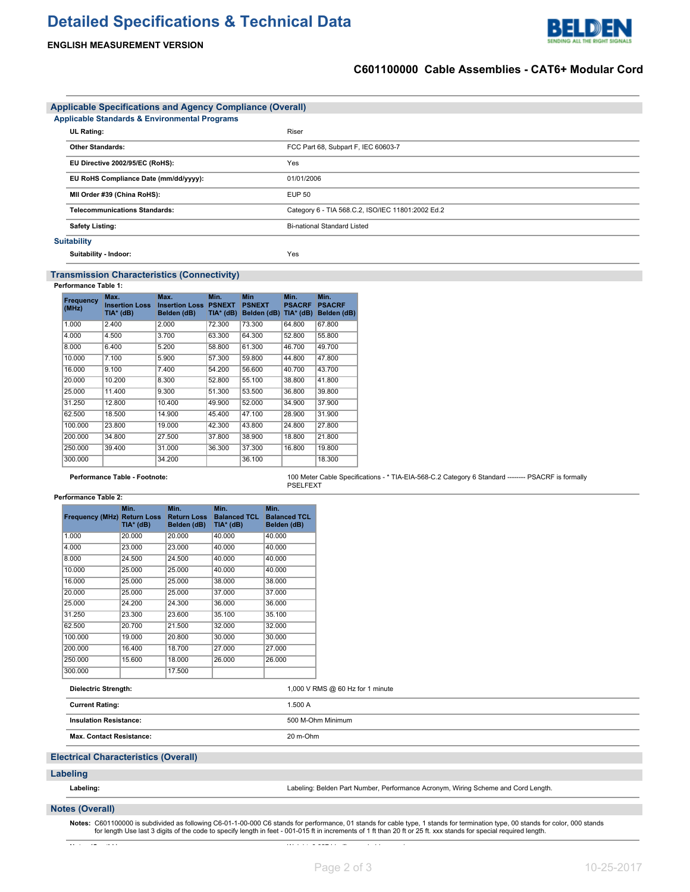# **Detailed Specifications & Technical Data**

### **ENGLISH MEASUREMENT VERSION**



DEN

| <b>Applicable Specifications and Agency Compliance (Overall)</b> |                                                   |  |  |  |  |  |  |
|------------------------------------------------------------------|---------------------------------------------------|--|--|--|--|--|--|
| <b>Applicable Standards &amp; Environmental Programs</b>         |                                                   |  |  |  |  |  |  |
| <b>UL Rating:</b>                                                | Riser                                             |  |  |  |  |  |  |
| <b>Other Standards:</b>                                          | FCC Part 68, Subpart F, IEC 60603-7               |  |  |  |  |  |  |
| EU Directive 2002/95/EC (RoHS):                                  | Yes                                               |  |  |  |  |  |  |
| EU RoHS Compliance Date (mm/dd/yyyy):                            | 01/01/2006                                        |  |  |  |  |  |  |
| MII Order #39 (China RoHS):                                      | <b>EUP 50</b>                                     |  |  |  |  |  |  |
| <b>Telecommunications Standards:</b>                             | Category 6 - TIA 568.C.2, ISO/IEC 11801:2002 Ed.2 |  |  |  |  |  |  |
| <b>Safety Listing:</b>                                           | <b>Bi-national Standard Listed</b>                |  |  |  |  |  |  |
| <b>Suitability</b>                                               |                                                   |  |  |  |  |  |  |
| Suitability Indoor:                                              | Yes                                               |  |  |  |  |  |  |

### **Transmission Characteristics (Connectivity)**

**Performance Table 1:**

| Frequency<br>(MHz) | Max.<br><b>Insertion Loss</b><br>TIA* (dB) | Max.<br><b>Insertion Loss</b><br>Belden (dB) | Min.<br><b>PSNEXT</b><br>TIA* (dB) | <b>Min</b><br><b>PSNEXT</b><br>Belden (dB) | Min.<br><b>PSACRF</b><br>$TIA*$ (dB) | Min.<br><b>PSACRF</b><br>Belden (dB) |
|--------------------|--------------------------------------------|----------------------------------------------|------------------------------------|--------------------------------------------|--------------------------------------|--------------------------------------|
| 1.000              | 2.400                                      | 2.000                                        | 72.300                             | 73.300                                     | 64.800                               | 67.800                               |
| 4.000              | 4.500                                      | 3.700                                        | 63.300                             | 64.300                                     | 52.800                               | 55.800                               |
| 8.000              | 6.400                                      | 5.200                                        | 58,800                             | 61.300                                     | 46.700                               | 49.700                               |
| 10.000             | 7.100                                      | 5.900                                        | 57.300                             | 59.800                                     | 44.800                               | 47.800                               |
| 16.000             | 9.100                                      | 7.400                                        | 54.200                             | 56.600                                     | 40.700                               | 43.700                               |
| 20.000             | 10.200                                     | 8.300                                        | 52.800                             | 55.100                                     | 38,800                               | 41.800                               |
| 25.000             | 11.400                                     | 9.300                                        | 51.300                             | 53.500                                     | 36,800                               | 39,800                               |
| 31.250             | 12,800                                     | 10.400                                       | 49.900                             | 52.000                                     | 34.900                               | 37.900                               |
| 62.500             | 18.500                                     | 14.900                                       | 45.400                             | 47.100                                     | 28.900                               | 31.900                               |
| 100.000            | 23.800                                     | 19.000                                       | 42.300                             | 43.800                                     | 24.800                               | 27,800                               |
| 200.000            | 34,800                                     | 27.500                                       | 37,800                             | 38.900                                     | 18.800                               | 21.800                               |
| 250.000            | 39.400                                     | 31.000                                       | 36,300                             | 37.300                                     | 16.800                               | 19,800                               |
| 300.000            |                                            | 34.200                                       |                                    | 36.100                                     |                                      | 18.300                               |

**Performance Table - Footnote:** 100 Meter Cable Specifications - \* TIA-EIA-568-C.2 Category 6 Standard -------- PSACRF is formally PSELFEXT

### **Performance Table 2:**

| <b>Frequency (MHz) Return Loss</b> | Min.<br>TIA* (dB) | Min.<br><b>Return Loss</b><br>Belden (dB) | Min.<br><b>Balanced TCL</b><br>TIA* (dB) | Min.<br><b>Balanced TCL</b><br>Belden (dB) |
|------------------------------------|-------------------|-------------------------------------------|------------------------------------------|--------------------------------------------|
| 1.000                              | 20,000            | 20.000                                    | 40.000                                   | 40.000                                     |
| 4.000                              | 23,000            | 23.000                                    | 40.000                                   | 40.000                                     |
| 8.000                              | 24.500            | 24.500                                    | 40.000                                   | 40.000                                     |
| 10.000                             | 25.000            | 25.000                                    | 40.000                                   | 40.000                                     |
| 16.000                             | 25.000            | 25.000                                    | 38,000                                   | 38,000                                     |
| 20.000                             | 25.000            | 25.000                                    | 37.000                                   | 37,000                                     |
| 25.000                             | 24.200            | 24.300                                    | 36,000                                   | 36,000                                     |
| 31.250                             | 23.300            | 23.600                                    | 35.100                                   | 35.100                                     |
| 62.500                             | 20.700            | 21.500                                    | 32.000                                   | 32.000                                     |
| 100.000                            | 19.000            | 20.800                                    | 30,000                                   | 30.000                                     |
| 200.000                            | 16.400            | 18.700                                    | 27.000                                   | 27.000                                     |
| 250.000                            | 15,600            | 18,000                                    | 26,000                                   | 26,000                                     |
| 300.000                            |                   | 17.500                                    |                                          |                                            |

**Dielectric Strength:** 1,000 V RMS @ 60 Hz for 1 minute

| <b>Current Rating:</b>                      |                                 | 1.500 A                                                                           |  |  |  |  |
|---------------------------------------------|---------------------------------|-----------------------------------------------------------------------------------|--|--|--|--|
|                                             | <b>Insulation Resistance:</b>   | 500 M-Ohm Minimum                                                                 |  |  |  |  |
|                                             | <b>Max. Contact Resistance:</b> | 20 m-Ohm                                                                          |  |  |  |  |
| <b>Electrical Characteristics (Overall)</b> |                                 |                                                                                   |  |  |  |  |
| Labeling                                    |                                 |                                                                                   |  |  |  |  |
|                                             | Labeling:                       | Labeling: Belden Part Number, Performance Acronym, Wiring Scheme and Cord Length. |  |  |  |  |

### **Notes (Overall)**

**Notes:** C601100000 is subdivided as following C6-01-1-00-000 C6 stands for performance, 01 stands for cable type, 1 stands for termination type, 00 stands for color, 000 stands for length Use last 3 digits of the code to specify length in feet - 001-015 ft in increments of 1 ft than 20 ft or 25 ft. xxx stands for special required length.